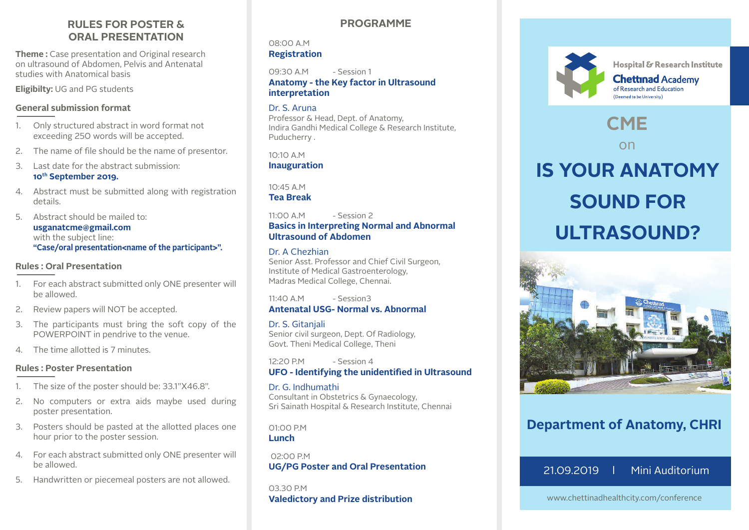# **RULES FOR POSTER & ORAL PRESENTATION**

**Theme :** Case presentation and Original research on ultrasound of Abdomen, Pelvis and Antenatal studies with Anatomical basis

**Eligibilty:** UG and PG students

# **General submission format**

- 1. Only structured abstract in word format not exceeding 250 words will be accepted.
- 2. The name of file should be the name of presentor.
- 3. Last date for the abstract submission: **10th September 2019.**
- 4. Abstract must be submitted along with registration details.

5. Abstract should be mailed to: **usganatcme@gmail.com** with the subject line: **"Case/oral presentation<name of the participant>".**

### **Rules : Oral Presentation**

- 1. For each abstract submitted only ONE presenter will be allowed.
- 2. Review papers will NOT be accepted.
- 3. The participants must bring the soft copy of the POWERPOINT in pendrive to the venue.
- 4. The time allotted is 7 minutes.

# **Rules : Poster Presentation**

- 1. The size of the poster should be: 33.1"X46.8".
- 2. No computers or extra aids maybe used during poster presentation.
- 3. Posters should be pasted at the allotted places one hour prior to the poster session.
- 4. For each abstract submitted only ONE presenter will be allowed.
- 5. Handwritten or piecemeal posters are not allowed.

# **PROGRAMME**

#### 08:00 A.M **Registration**

 $09:30$  A M - Session 1 **Anatomy - the Key factor in Ultrasound interpretation**

# Dr. S. Aruna

Professor & Head, Dept. of Anatomy, Indira Gandhi Medical College & Research Institute, Puducherry .

10:10 A.M **Inauguration**

10:45 A.M **Tea Break**

 $11:00 \triangle M$  - Session 2 **Basics in Interpreting Normal and Abnormal Ultrasound of Abdomen**

# Dr. A Chezhian

Senior Asst. Professor and Chief Civil Surgeon, Institute of Medical Gastroenterology, Madras Medical College, Chennai.

 $11:40$  A M - Session3 **Antenatal USG- Normal vs. Abnormal**

# Dr. S. Gitanjali Senior civil surgeon, Dept. Of Radiology,

Govt. Theni Medical College, Theni

12:20 P.M - Session 4 **UFO - Identifying the unidentified in Ultrasound**

### Dr. G. Indhumathi

Consultant in Obstetrics & Gynaecology, Sri Sainath Hospital & Research Institute, Chennai

01:00 P.M **Lunch**

 02:00 P.M **UG/PG Poster and Oral Presentation**

03.30 P.M **Valedictory and Prize distribution**



Hospital & Research Institute

**Chettinad Academy** of Research and Education (Deemed to be University)

# **CME**

on

# **IS YOUR ANATOMY SOUND FOR ULTRASOUND?**



# **Department of Anatomy, CHRI**

21.09.2019 l Mini Auditorium